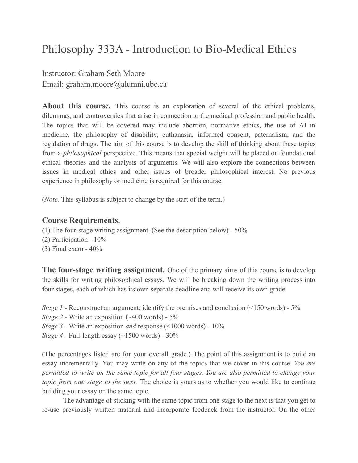## Philosophy 333A - Introduction to Bio-Medical Ethics

Instructor: Graham Seth Moore Email: graham.moore@alumni.ubc.ca

**About this course.** This course is an exploration of several of the ethical problems, dilemmas, and controversies that arise in connection to the medical profession and public health. The topics that will be covered may include abortion, normative ethics, the use of AI in medicine, the philosophy of disability, euthanasia, informed consent, paternalism, and the regulation of drugs. The aim of this course is to develop the skill of thinking about these topics from a *philosophical* perspective. This means that special weight will be placed on foundational ethical theories and the analysis of arguments. We will also explore the connections between issues in medical ethics and other issues of broader philosophical interest. No previous experience in philosophy or medicine is required for this course.

(*Note.* This syllabus is subject to change by the start of the term.)

## **Course Requirements.**

- (1) The four-stage writing assignment. (See the description below) 50%
- (2) Participation 10%
- (3) Final exam 40%

**The four-stage writing assignment.** One of the primary aims of this course is to develop the skills for writing philosophical essays. We will be breaking down the writing process into four stages, each of which has its own separate deadline and will receive its own grade.

*Stage 1* - Reconstruct an argument; identify the premises and conclusion (<150 words) - 5%

- *Stage 2 -* Write an exposition (~400 words) 5%
- *Stage 3 -* Write an exposition *and* response (<1000 words) 10%
- *Stage 4* Full-length essay (~1500 words) 30%

(The percentages listed are for your overall grade.) The point of this assignment is to build an essay incrementally. You may write on any of the topics that we cover in this course. *You are permitted to write on the same topic for all four stages. You are also permitted to change your topic from one stage to the next.* The choice is yours as to whether you would like to continue building your essay on the same topic.

The advantage of sticking with the same topic from one stage to the next is that you get to re-use previously written material and incorporate feedback from the instructor. On the other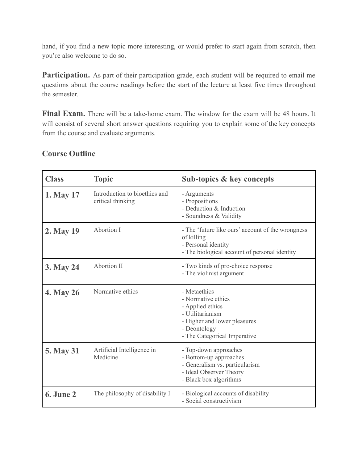hand, if you find a new topic more interesting, or would prefer to start again from scratch, then you're also welcome to do so.

**Participation.** As part of their participation grade, each student will be required to email me questions about the course readings before the start of the lecture at least five times throughout the semester.

**Final Exam.** There will be a take-home exam. The window for the exam will be 48 hours. It will consist of several short answer questions requiring you to explain some of the key concepts from the course and evaluate arguments.

| <b>Class</b>     | <b>Topic</b>                                       | Sub-topics & key concepts                                                                                                                                  |
|------------------|----------------------------------------------------|------------------------------------------------------------------------------------------------------------------------------------------------------------|
| 1. May 17        | Introduction to bioethics and<br>critical thinking | - Arguments<br>- Propositions<br>- Deduction & Induction<br>- Soundness & Validity                                                                         |
| 2. May 19        | Abortion I                                         | - The 'future like ours' account of the wrongness<br>of killing<br>- Personal identity<br>- The biological account of personal identity                    |
| 3. May 24        | <b>Abortion II</b>                                 | - Two kinds of pro-choice response<br>- The violinist argument                                                                                             |
| <b>4. May 26</b> | Normative ethics                                   | - Metaethics<br>- Normative ethics<br>- Applied ethics<br>- Utilitarianism<br>- Higher and lower pleasures<br>- Deontology<br>- The Categorical Imperative |
| <b>5. May 31</b> | Artificial Intelligence in<br>Medicine             | - Top-down approaches<br>- Bottom-up approaches<br>- Generalism vs. particularism<br>- Ideal Observer Theory<br>- Black box algorithms                     |
| <b>6. June 2</b> | The philosophy of disability I                     | - Biological accounts of disability<br>- Social constructivism                                                                                             |

## **Course Outline**